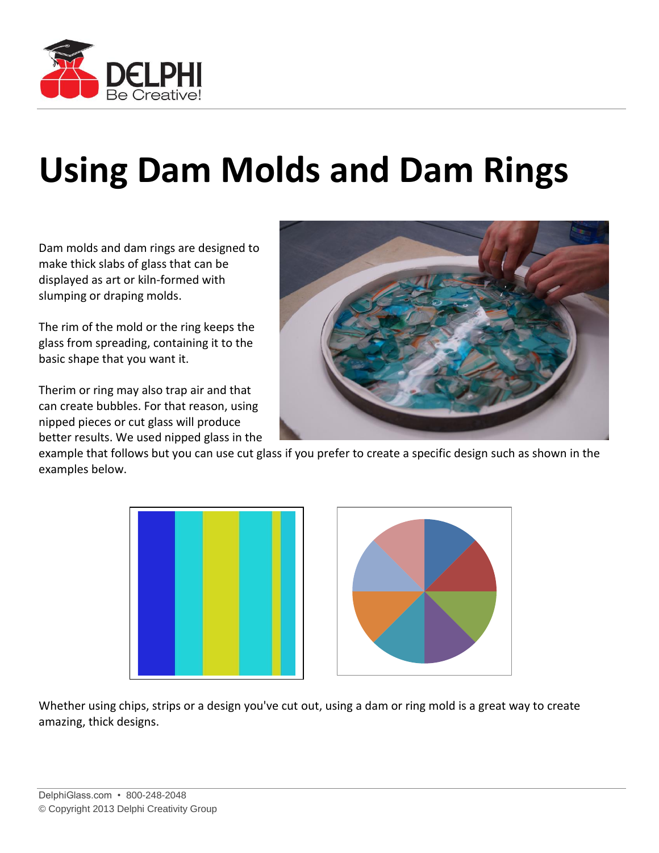

## **Using Dam Molds and Dam Rings**

Dam molds and dam rings are designed to make thick slabs of glass that can be displayed as art or kiln-formed with slumping or draping molds.

The rim of the mold or the ring keeps the glass from spreading, containing it to the basic shape that you want it.

Therim or ring may also trap air and that can create bubbles. For that reason, using nipped pieces or cut glass will produce better results. We used nipped glass in the



example that follows but you can use cut glass if you prefer to create a specific design such as shown in the examples below.





Whether using chips, strips or a design you've cut out, using a dam or ring mold is a great way to create amazing, thick designs.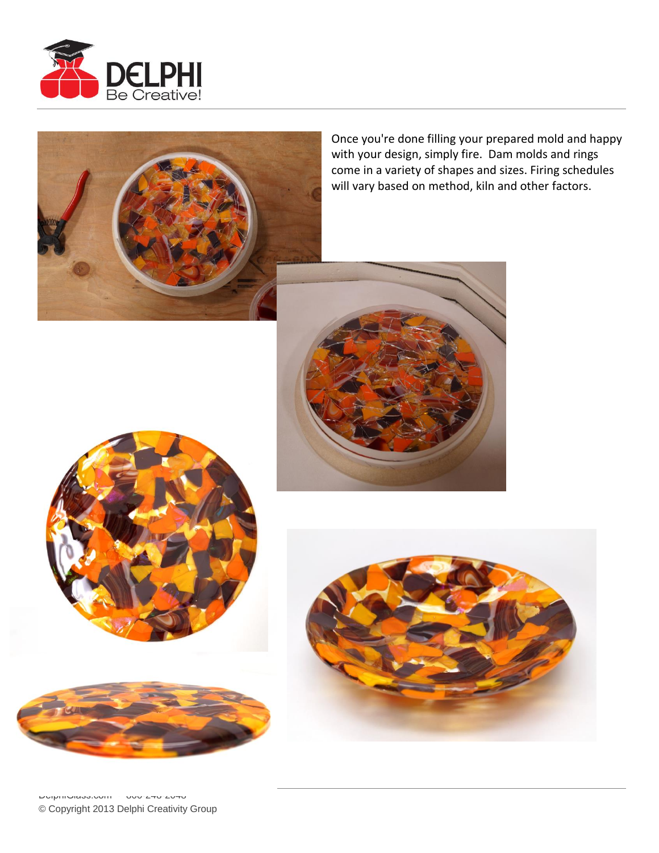



Once you're done filling your prepared mold and happy with your design, simply fire. Dam molds and rings come in a variety of shapes and sizes. Firing schedules will vary based on method, kiln and other factors.